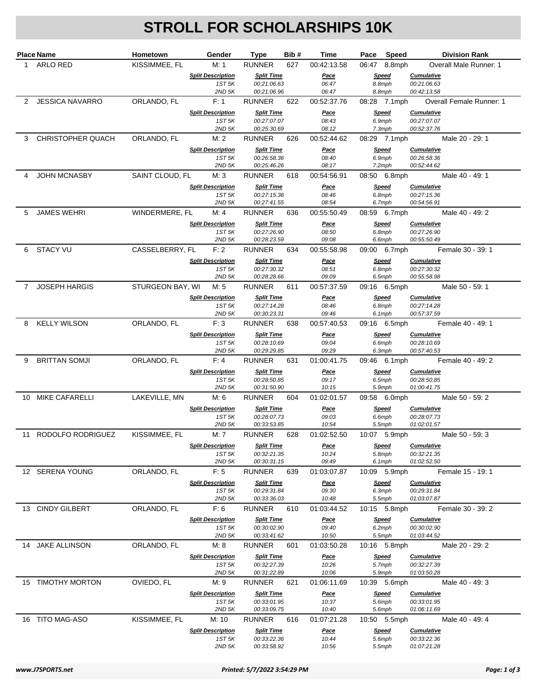## **STROLL FOR SCHOLARSHIPS 10K**

|   | <b>Place Name</b>      | Hometown         | Gender                             | <b>Type</b>                      | Bib# | Time                 |        | Pace Speed             |                                  | <b>Division Rank</b>          |
|---|------------------------|------------------|------------------------------------|----------------------------------|------|----------------------|--------|------------------------|----------------------------------|-------------------------------|
|   | 1 ARLO RED             | KISSIMMEE, FL    | M: 1                               | <b>RUNNER</b>                    | 627  | 00:42:13.58          |        | 06:47 8.8mph           |                                  | <b>Overall Male Runner: 1</b> |
|   |                        |                  | <b>Split Description</b>           | <b>Split Time</b>                |      | <u>Pace</u>          |        | Speed                  | <b>Cumulative</b>                |                               |
|   |                        |                  | 1ST 5K<br>$2ND$ 5K                 | 00:21:06.63<br>00:21:06.96       |      | 06:47<br>06:47       | 8.8mph | 8.8mph                 | 00:21:06.63<br>00:42:13.58       |                               |
| 2 | <b>JESSICA NAVARRO</b> | ORLANDO, FL      | F: 1                               | <b>RUNNER</b>                    | 622  | 00:52:37.76          |        | 08:28 7.1mph           |                                  | Overall Female Runner: 1      |
|   |                        |                  | <b>Split Description</b>           | <b>Split Time</b>                |      | Pace                 |        | <b>Speed</b>           | <b>Cumulative</b>                |                               |
|   |                        |                  | 1ST 5K                             | 00:27:07.07                      |      | 08:43                |        | 6.9mph                 | 00:27:07.07                      |                               |
|   |                        |                  | $2ND$ 5K                           | 00:25:30.69                      |      | 08:12                |        | 7.3mph                 | 00:52:37.76                      |                               |
| 3 | CHRISTOPHER QUACH      | ORLANDO, FL      | M:2                                | <b>RUNNER</b>                    | 626  | 00:52:44.62          |        | 08:29 7.1mph<br>Speed  | <b>Cumulative</b>                | Male 20 - 29: 1               |
|   |                        |                  | <b>Split Description</b><br>1ST 5K | <b>Split Time</b><br>00:26:58.36 |      | <u>Pace</u><br>08:40 | 6.9mph |                        | 00:26:58.36                      |                               |
|   |                        |                  | $2ND$ 5K                           | 00:25:46.26                      |      | 08:17                |        | 7.2mph                 | 00:52:44.62                      |                               |
|   | <b>JOHN MCNASBY</b>    | SAINT CLOUD, FL  | M: 3                               | <b>RUNNER</b>                    | 618  | 00:54:56.91          |        | 08:50 6.8mph           |                                  | Male 40 - 49: 1               |
|   |                        |                  | <b>Split Description</b><br>1ST 5K | <b>Split Time</b><br>00:27:15.36 |      | <u>Pace</u><br>08:46 |        | <b>Speed</b><br>6.8mph | <b>Cumulative</b><br>00:27:15.36 |                               |
|   |                        |                  | $2ND$ 5K                           | 00:27:41.55                      |      | 08:54                |        | 6.7mph                 | 00:54:56.91                      |                               |
| 5 | <b>JAMES WEHRI</b>     | WINDERMERE, FL   | M: 4                               | <b>RUNNER</b>                    | 636  | 00:55:50.49          |        | 08:59 6.7mph           |                                  | Male 40 - 49: 2               |
|   |                        |                  | <b>Split Description</b>           | <b>Split Time</b>                |      | <u>Pace</u>          |        | Speed                  | <b>Cumulative</b>                |                               |
|   |                        |                  | 1ST 5K<br>$2ND$ 5K                 | 00:27:26.90<br>00:28:23.59       |      | 08:50<br>09:08       |        | 6.8mph<br>6.6mph       | 00:27:26.90<br>00:55:50.49       |                               |
| 6 | <b>STACY VU</b>        | CASSELBERRY, FL  | F: 2                               | <b>RUNNER</b>                    | 634  | 00:55:58.98          |        | 09:00 6.7mph           |                                  | Female 30 - 39: 1             |
|   |                        |                  | <b>Split Description</b>           | <b>Split Time</b>                |      | Pace                 |        | Speed                  | <b>Cumulative</b>                |                               |
|   |                        |                  | 1ST 5K                             | 00:27:30.32                      |      | 08:51                |        | 6.8mph                 | 00:27:30.32                      |                               |
|   |                        |                  | $2ND$ 5K                           | 00:28:28.66                      |      | 09:09                |        | 6.5mph                 | 00:55:58.98                      |                               |
|   | 7 JOSEPH HARGIS        | STURGEON BAY, WI | M: 5                               | <b>RUNNER</b>                    | 611  | 00:57:37.59          |        | 09:16 6.5mph           |                                  | Male 50 - 59: 1               |
|   |                        |                  | <b>Split Description</b><br>1ST 5K | <b>Split Time</b><br>00:27:14.28 |      | Pace<br>08:46        |        | <b>Speed</b><br>6.8mph | <b>Cumulative</b><br>00:27:14.28 |                               |
|   |                        |                  | $2ND$ 5K                           | 00:30:23.31                      |      | 09:46                |        | 6.1mph                 | 00:57:37.59                      |                               |
| 8 | <b>KELLY WILSON</b>    | ORLANDO, FL      | F:3                                | <b>RUNNER</b>                    | 638  | 00:57:40.53          |        | 09:16 6.5mph           |                                  | Female 40 - 49: 1             |
|   |                        |                  | <b>Split Description</b>           | <b>Split Time</b>                |      | Pace                 |        | Speed                  | <b>Cumulative</b>                |                               |
|   |                        |                  | 1ST 5K<br>$2ND$ 5K                 | 00:28:10.69<br>00:29:29.85       |      | 09:04<br>09:29       |        | 6.6mph<br>6.3mph       | 00:28:10.69<br>00:57:40.53       |                               |
| 9 | <b>BRITTAN SOMJI</b>   | ORLANDO, FL      | F: 4                               | <b>RUNNER</b>                    | 631  | 01:00:41.75          |        | 09:46 6.1mph           |                                  | Female 40 - 49: 2             |
|   |                        |                  | <b>Split Description</b>           | <b>Split Time</b>                |      | <u>Pace</u>          |        | <b>Speed</b>           | <b>Cumulative</b>                |                               |
|   |                        |                  | 1ST 5K<br>$2ND$ 5K                 | 00:28:50.85<br>00:31:50.90       |      | 09:17<br>10:15       |        | 6.5mph<br>5.9mph       | 00:28:50.85<br>01:00:41.75       |                               |
|   | 10 MIKE CAFARELLI      | LAKEVILLE, MN    | M: 6                               | <b>RUNNER</b>                    | 604  | 01:02:01.57          |        | 09:58 6.0mph           |                                  | Male 50 - 59: 2               |
|   |                        |                  | <b>Split Description</b>           | <b>Split Time</b>                |      | Pace                 |        | Speed                  | <b>Cumulative</b>                |                               |
|   |                        |                  | 1ST 5K                             | 00:28:07.73                      |      | 09:03                |        | 6.6mph                 | 00:28:07.73                      |                               |
|   |                        |                  | $2ND$ 5K                           | 00:33:53.85                      |      | 10:54                |        | 5.5mph                 | 01:02:01.57                      |                               |
|   | 11 RODOLFO RODRIGUEZ   | KISSIMMEE, FL    | M:7                                | <b>RUNNER</b>                    | 628  | 01:02:52.50          |        | 10:07 5.9mph           |                                  | Male 50 - 59: 3               |
|   |                        |                  | <b>Split Description</b><br>1ST 5K | <b>Split Time</b><br>00:32:21.35 |      | <u>Pace</u><br>10:24 |        | <b>Speed</b><br>5.8mph | <b>Cumulative</b><br>00:32:21.35 |                               |
|   |                        |                  | $2ND$ 5K                           | 00:30:31.15                      |      | 09:49                |        | 6.1mph                 | 01:02:52.50                      |                               |
|   | 12 SERENA YOUNG        | ORLANDO, FL      | F: 5                               | <b>RUNNER</b>                    | 639  | 01:03:07.87          |        | 10:09 5.9mph           |                                  | Female 15 - 19: 1             |
|   |                        |                  | <b>Split Description</b><br>1ST 5K | <b>Split Time</b>                |      | <u>Pace</u>          |        | <b>Speed</b>           | <b>Cumulative</b>                |                               |
|   |                        |                  | $2ND$ 5K                           | 00:29:31.84<br>00:33:36.03       |      | 09:30<br>10:48       |        | 6.3mph<br>5.5mph       | 00:29:31.84<br>01:03:07.87       |                               |
|   | 13 CINDY GILBERT       | ORLANDO, FL      | F: 6                               | <b>RUNNER</b>                    | 610  | 01:03:44.52          |        | 10:15 5.8mph           |                                  | Female 30 - 39: 2             |
|   |                        |                  | <b>Split Description</b>           | <b>Split Time</b>                |      | <u>Pace</u>          |        | Speed                  | <b>Cumulative</b>                |                               |
|   |                        |                  | 1ST 5K                             | 00:30:02.90                      |      | 09:40                |        | 6.2mph                 | 00:30:02.90                      |                               |
|   | 14 JAKE ALLINSON       | ORLANDO, FL      | $2ND$ 5K<br>M: 8                   | 00:33:41.62<br><b>RUNNER</b>     | 601  | 10:50<br>01:03:50.28 |        | 5.5mph<br>10:16 5.8mph | 01:03:44.52                      | Male 20 - 29: 2               |
|   |                        |                  | <b>Split Description</b>           | <b>Split Time</b>                |      | <u>Pace</u>          |        | <b>Speed</b>           | <b>Cumulative</b>                |                               |
|   |                        |                  | 1ST 5K                             | 00:32:27.39                      |      | 10:26                |        | 5.7mph                 | 00:32:27.39                      |                               |
|   |                        |                  | $2ND$ 5K                           | 00:31:22.89                      |      | 10:06                |        | 5.9mph                 | 01:03:50.28                      |                               |
|   | 15 TIMOTHY MORTON      | OVIEDO, FL       | M: 9                               | <b>RUNNER</b>                    | 621  | 01:06:11.69          |        | 10:39 5.6mph           |                                  | Male 40 - 49: 3               |
|   |                        |                  | <b>Split Description</b><br>1ST 5K | <b>Split Time</b><br>00:33:01.95 |      | <u>Pace</u><br>10:37 |        | <b>Speed</b><br>5.6mph | <b>Cumulative</b><br>00:33:01.95 |                               |
|   |                        |                  | $2ND$ 5K                           | 00:33:09.75                      |      | 10:40                |        | 5.6mph                 | 01:06:11.69                      |                               |
|   | 16 TITO MAG-ASO        | KISSIMMEE, FL    | M: 10                              | <b>RUNNER</b>                    | 616  | 01:07:21.28          |        | 10:50 5.5mph           |                                  | Male 40 - 49: 4               |
|   |                        |                  | <b>Split Description</b>           | <b>Split Time</b>                |      | <u>Pace</u>          |        | Speed                  | <b>Cumulative</b>                |                               |
|   |                        |                  | 1ST 5K<br>$2ND$ 5K                 | 00:33:22.36<br>00:33:58.92       |      | 10:44<br>10:56       |        | 5.6mph<br>5.5mph       | 00:33:22.36<br>01:07:21.28       |                               |
|   |                        |                  |                                    |                                  |      |                      |        |                        |                                  |                               |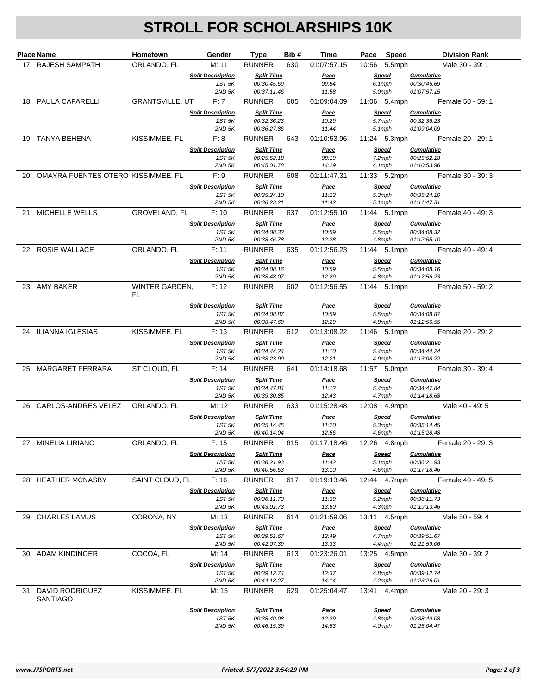## **STROLL FOR SCHOLARSHIPS 10K**

| ORLANDO, FL<br>M: 11<br><b>RUNNER</b><br>10:56 5.5mph<br>17 RAJESH SAMPATH<br>630<br>01:07:57.15<br><b>Split Description</b><br><b>Split Time</b><br><b>Speed</b><br><b>Cumulative</b><br><u>Pace</u><br>6.1mph<br>1ST 5K<br>00:30:45.69<br>09:54<br>00:30:45.69<br>5.0mph<br>01:07:57.15<br>$2ND$ 5K<br>00:37:11.46<br>11:58<br>GRANTSVILLE, UT F: 7<br>18 PAULA CAFARELLI<br><b>RUNNER</b><br>605<br>01:09:04.09<br>11:06 5.4mph<br><b>Split Description</b><br><b>Split Time</b><br>Pace<br><b>Speed</b><br><b>Cumulative</b><br>5.7mph<br>1ST 5K<br>00:32:36.23<br>10:29<br>00:32:36.23<br>$2ND$ 5K<br>00:36:27.86<br>11:44<br>5.1mph<br>01:09:04.09<br>19 TANYA BEHENA<br>KISSIMMEE, FL<br>F: 8<br><b>RUNNER</b><br>643<br>01:10:53.96<br>11:24 5.3mph<br><b>Split Description</b><br><b>Split Time</b><br><b>Speed</b><br><b>Cumulative</b><br><u>Pace</u><br>7.2mph<br>1ST 5K<br>00:25:52.18<br>08:19<br>00:25:52.18<br>$2ND$ 5K<br>00:45:01.78<br>14:29<br>4.1mph<br>01:10:53.96<br>20 OMAYRA FUENTES OTERO KISSIMMEE, FL<br>F:9<br>RUNNER<br>608<br>01:11:47.31<br>11:33 5.2mph<br><b>Speed</b><br><b>Split Description</b><br><b>Split Time</b><br>Pace<br><b>Cumulative</b><br>00:35:24.10<br>11:23<br>5.3mph<br>00:35:24.10<br>1ST 5K<br>$2ND$ 5K<br>00:36:23.21<br>11:42<br>5.1mph<br>01:11:47.31<br>21 MICHELLE WELLS<br>GROVELAND, FL<br>F: 10<br><b>RUNNER</b><br>637<br>01:12:55.10<br>11:44 5.1mph<br><b>Split Description</b><br><b>Split Time</b><br>Speed<br><b>Cumulative</b><br><u>Pace</u><br>1ST 5K<br>00:34:08.32<br>10:59<br>5.5mph<br>00:34:08.32<br>$2ND$ 5K<br>00:38:46.78<br>12:28<br>4.8mph<br>01:12:55.10<br>22 ROSIE WALLACE<br>ORLANDO, FL<br>F: 11<br>RUNNER<br>01:12:56.23<br>11:44 5.1mph<br>635<br><b>Split Description</b><br><b>Split Time</b><br>Pace<br>Speed<br><b>Cumulative</b><br>1ST 5K<br>00:34:08.16<br>10:59<br>5.5mph<br>00:34:08.16<br>12:29<br>01:12:56.23<br>$2ND$ 5K<br>00:38:48.07<br>4.8mph<br>23 AMY BAKER<br>WINTER GARDEN,<br>F: 12<br>RUNNER<br>01:12:56.55<br>11:44 5.1mph<br>602<br>FL<br><b>Split Description</b><br><b>Split Time</b><br><b>Speed</b><br><b>Cumulative</b><br><u>Pace</u><br>10:59<br>1ST 5K<br>00:34:08.87<br>5.5mph<br>00:34:08.87<br>$2ND$ 5K<br>00:38:47.69<br>12:29<br>01:12:56.55<br>4.8mph<br>24 ILIANNA IGLESIAS<br>KISSIMMEE, FL<br><b>RUNNER</b><br>F: 13<br>612<br>01:13:08.22<br>11:46    5.1mph<br><b>Split Description</b><br><b>Split Time</b><br><b>Speed</b><br><b>Cumulative</b><br><b>Pace</b><br>1ST 5K<br>00:34:44.24<br>5.4mph<br>11:10<br>00:34:44.24<br>00:38:23.99<br>01:13:08.22<br>$2ND$ 5K<br>12:21<br>4.9mph<br>25 MARGARET FERRARA<br>ST CLOUD, FL<br>F: 14<br><b>RUNNER</b><br>01:14:18.68<br>11:57 5.0mph<br>Female 30 - 39: 4<br>641<br><b>Split Description</b><br><b>Split Time</b><br><b>Speed</b><br><b>Cumulative</b><br><u>Pace</u><br>1ST 5K<br>00:34:47.84<br>11:12<br>5.4mph<br>00:34:47.84<br>00:39:30.85<br>$2ND$ 5K<br>12:43<br>4.7mph<br>01:14:18.68<br>26 CARLOS-ANDRES VELEZ ORLANDO, FL<br>M: 12<br>RUNNER<br>633<br>01:15:28.48<br>12:08 4.9mph | Male 30 - 39: 1<br>Female 50 - 59: 1<br>Female 20 - 29: 1<br>Female 30 - 39: 3<br>Female 40 - 49: 3<br>Female 40 - 49: 4<br>Female 50 - 59: 2<br>Female 20 - 29: 2 |
|-------------------------------------------------------------------------------------------------------------------------------------------------------------------------------------------------------------------------------------------------------------------------------------------------------------------------------------------------------------------------------------------------------------------------------------------------------------------------------------------------------------------------------------------------------------------------------------------------------------------------------------------------------------------------------------------------------------------------------------------------------------------------------------------------------------------------------------------------------------------------------------------------------------------------------------------------------------------------------------------------------------------------------------------------------------------------------------------------------------------------------------------------------------------------------------------------------------------------------------------------------------------------------------------------------------------------------------------------------------------------------------------------------------------------------------------------------------------------------------------------------------------------------------------------------------------------------------------------------------------------------------------------------------------------------------------------------------------------------------------------------------------------------------------------------------------------------------------------------------------------------------------------------------------------------------------------------------------------------------------------------------------------------------------------------------------------------------------------------------------------------------------------------------------------------------------------------------------------------------------------------------------------------------------------------------------------------------------------------------------------------------------------------------------------------------------------------------------------------------------------------------------------------------------------------------------------------------------------------------------------------------------------------------------------------------------------------------------------------------------------------------------------------------------------------------------------------------------------------------------------------------------------------------------------------------------------------------------------------------------------------------------------------------------------------------------------------------|--------------------------------------------------------------------------------------------------------------------------------------------------------------------|
|                                                                                                                                                                                                                                                                                                                                                                                                                                                                                                                                                                                                                                                                                                                                                                                                                                                                                                                                                                                                                                                                                                                                                                                                                                                                                                                                                                                                                                                                                                                                                                                                                                                                                                                                                                                                                                                                                                                                                                                                                                                                                                                                                                                                                                                                                                                                                                                                                                                                                                                                                                                                                                                                                                                                                                                                                                                                                                                                                                                                                                                                                     |                                                                                                                                                                    |
|                                                                                                                                                                                                                                                                                                                                                                                                                                                                                                                                                                                                                                                                                                                                                                                                                                                                                                                                                                                                                                                                                                                                                                                                                                                                                                                                                                                                                                                                                                                                                                                                                                                                                                                                                                                                                                                                                                                                                                                                                                                                                                                                                                                                                                                                                                                                                                                                                                                                                                                                                                                                                                                                                                                                                                                                                                                                                                                                                                                                                                                                                     |                                                                                                                                                                    |
|                                                                                                                                                                                                                                                                                                                                                                                                                                                                                                                                                                                                                                                                                                                                                                                                                                                                                                                                                                                                                                                                                                                                                                                                                                                                                                                                                                                                                                                                                                                                                                                                                                                                                                                                                                                                                                                                                                                                                                                                                                                                                                                                                                                                                                                                                                                                                                                                                                                                                                                                                                                                                                                                                                                                                                                                                                                                                                                                                                                                                                                                                     |                                                                                                                                                                    |
|                                                                                                                                                                                                                                                                                                                                                                                                                                                                                                                                                                                                                                                                                                                                                                                                                                                                                                                                                                                                                                                                                                                                                                                                                                                                                                                                                                                                                                                                                                                                                                                                                                                                                                                                                                                                                                                                                                                                                                                                                                                                                                                                                                                                                                                                                                                                                                                                                                                                                                                                                                                                                                                                                                                                                                                                                                                                                                                                                                                                                                                                                     |                                                                                                                                                                    |
|                                                                                                                                                                                                                                                                                                                                                                                                                                                                                                                                                                                                                                                                                                                                                                                                                                                                                                                                                                                                                                                                                                                                                                                                                                                                                                                                                                                                                                                                                                                                                                                                                                                                                                                                                                                                                                                                                                                                                                                                                                                                                                                                                                                                                                                                                                                                                                                                                                                                                                                                                                                                                                                                                                                                                                                                                                                                                                                                                                                                                                                                                     |                                                                                                                                                                    |
|                                                                                                                                                                                                                                                                                                                                                                                                                                                                                                                                                                                                                                                                                                                                                                                                                                                                                                                                                                                                                                                                                                                                                                                                                                                                                                                                                                                                                                                                                                                                                                                                                                                                                                                                                                                                                                                                                                                                                                                                                                                                                                                                                                                                                                                                                                                                                                                                                                                                                                                                                                                                                                                                                                                                                                                                                                                                                                                                                                                                                                                                                     |                                                                                                                                                                    |
|                                                                                                                                                                                                                                                                                                                                                                                                                                                                                                                                                                                                                                                                                                                                                                                                                                                                                                                                                                                                                                                                                                                                                                                                                                                                                                                                                                                                                                                                                                                                                                                                                                                                                                                                                                                                                                                                                                                                                                                                                                                                                                                                                                                                                                                                                                                                                                                                                                                                                                                                                                                                                                                                                                                                                                                                                                                                                                                                                                                                                                                                                     |                                                                                                                                                                    |
|                                                                                                                                                                                                                                                                                                                                                                                                                                                                                                                                                                                                                                                                                                                                                                                                                                                                                                                                                                                                                                                                                                                                                                                                                                                                                                                                                                                                                                                                                                                                                                                                                                                                                                                                                                                                                                                                                                                                                                                                                                                                                                                                                                                                                                                                                                                                                                                                                                                                                                                                                                                                                                                                                                                                                                                                                                                                                                                                                                                                                                                                                     |                                                                                                                                                                    |
|                                                                                                                                                                                                                                                                                                                                                                                                                                                                                                                                                                                                                                                                                                                                                                                                                                                                                                                                                                                                                                                                                                                                                                                                                                                                                                                                                                                                                                                                                                                                                                                                                                                                                                                                                                                                                                                                                                                                                                                                                                                                                                                                                                                                                                                                                                                                                                                                                                                                                                                                                                                                                                                                                                                                                                                                                                                                                                                                                                                                                                                                                     |                                                                                                                                                                    |
|                                                                                                                                                                                                                                                                                                                                                                                                                                                                                                                                                                                                                                                                                                                                                                                                                                                                                                                                                                                                                                                                                                                                                                                                                                                                                                                                                                                                                                                                                                                                                                                                                                                                                                                                                                                                                                                                                                                                                                                                                                                                                                                                                                                                                                                                                                                                                                                                                                                                                                                                                                                                                                                                                                                                                                                                                                                                                                                                                                                                                                                                                     |                                                                                                                                                                    |
|                                                                                                                                                                                                                                                                                                                                                                                                                                                                                                                                                                                                                                                                                                                                                                                                                                                                                                                                                                                                                                                                                                                                                                                                                                                                                                                                                                                                                                                                                                                                                                                                                                                                                                                                                                                                                                                                                                                                                                                                                                                                                                                                                                                                                                                                                                                                                                                                                                                                                                                                                                                                                                                                                                                                                                                                                                                                                                                                                                                                                                                                                     |                                                                                                                                                                    |
|                                                                                                                                                                                                                                                                                                                                                                                                                                                                                                                                                                                                                                                                                                                                                                                                                                                                                                                                                                                                                                                                                                                                                                                                                                                                                                                                                                                                                                                                                                                                                                                                                                                                                                                                                                                                                                                                                                                                                                                                                                                                                                                                                                                                                                                                                                                                                                                                                                                                                                                                                                                                                                                                                                                                                                                                                                                                                                                                                                                                                                                                                     |                                                                                                                                                                    |
|                                                                                                                                                                                                                                                                                                                                                                                                                                                                                                                                                                                                                                                                                                                                                                                                                                                                                                                                                                                                                                                                                                                                                                                                                                                                                                                                                                                                                                                                                                                                                                                                                                                                                                                                                                                                                                                                                                                                                                                                                                                                                                                                                                                                                                                                                                                                                                                                                                                                                                                                                                                                                                                                                                                                                                                                                                                                                                                                                                                                                                                                                     |                                                                                                                                                                    |
|                                                                                                                                                                                                                                                                                                                                                                                                                                                                                                                                                                                                                                                                                                                                                                                                                                                                                                                                                                                                                                                                                                                                                                                                                                                                                                                                                                                                                                                                                                                                                                                                                                                                                                                                                                                                                                                                                                                                                                                                                                                                                                                                                                                                                                                                                                                                                                                                                                                                                                                                                                                                                                                                                                                                                                                                                                                                                                                                                                                                                                                                                     |                                                                                                                                                                    |
|                                                                                                                                                                                                                                                                                                                                                                                                                                                                                                                                                                                                                                                                                                                                                                                                                                                                                                                                                                                                                                                                                                                                                                                                                                                                                                                                                                                                                                                                                                                                                                                                                                                                                                                                                                                                                                                                                                                                                                                                                                                                                                                                                                                                                                                                                                                                                                                                                                                                                                                                                                                                                                                                                                                                                                                                                                                                                                                                                                                                                                                                                     |                                                                                                                                                                    |
|                                                                                                                                                                                                                                                                                                                                                                                                                                                                                                                                                                                                                                                                                                                                                                                                                                                                                                                                                                                                                                                                                                                                                                                                                                                                                                                                                                                                                                                                                                                                                                                                                                                                                                                                                                                                                                                                                                                                                                                                                                                                                                                                                                                                                                                                                                                                                                                                                                                                                                                                                                                                                                                                                                                                                                                                                                                                                                                                                                                                                                                                                     |                                                                                                                                                                    |
|                                                                                                                                                                                                                                                                                                                                                                                                                                                                                                                                                                                                                                                                                                                                                                                                                                                                                                                                                                                                                                                                                                                                                                                                                                                                                                                                                                                                                                                                                                                                                                                                                                                                                                                                                                                                                                                                                                                                                                                                                                                                                                                                                                                                                                                                                                                                                                                                                                                                                                                                                                                                                                                                                                                                                                                                                                                                                                                                                                                                                                                                                     |                                                                                                                                                                    |
|                                                                                                                                                                                                                                                                                                                                                                                                                                                                                                                                                                                                                                                                                                                                                                                                                                                                                                                                                                                                                                                                                                                                                                                                                                                                                                                                                                                                                                                                                                                                                                                                                                                                                                                                                                                                                                                                                                                                                                                                                                                                                                                                                                                                                                                                                                                                                                                                                                                                                                                                                                                                                                                                                                                                                                                                                                                                                                                                                                                                                                                                                     |                                                                                                                                                                    |
|                                                                                                                                                                                                                                                                                                                                                                                                                                                                                                                                                                                                                                                                                                                                                                                                                                                                                                                                                                                                                                                                                                                                                                                                                                                                                                                                                                                                                                                                                                                                                                                                                                                                                                                                                                                                                                                                                                                                                                                                                                                                                                                                                                                                                                                                                                                                                                                                                                                                                                                                                                                                                                                                                                                                                                                                                                                                                                                                                                                                                                                                                     |                                                                                                                                                                    |
|                                                                                                                                                                                                                                                                                                                                                                                                                                                                                                                                                                                                                                                                                                                                                                                                                                                                                                                                                                                                                                                                                                                                                                                                                                                                                                                                                                                                                                                                                                                                                                                                                                                                                                                                                                                                                                                                                                                                                                                                                                                                                                                                                                                                                                                                                                                                                                                                                                                                                                                                                                                                                                                                                                                                                                                                                                                                                                                                                                                                                                                                                     |                                                                                                                                                                    |
|                                                                                                                                                                                                                                                                                                                                                                                                                                                                                                                                                                                                                                                                                                                                                                                                                                                                                                                                                                                                                                                                                                                                                                                                                                                                                                                                                                                                                                                                                                                                                                                                                                                                                                                                                                                                                                                                                                                                                                                                                                                                                                                                                                                                                                                                                                                                                                                                                                                                                                                                                                                                                                                                                                                                                                                                                                                                                                                                                                                                                                                                                     |                                                                                                                                                                    |
|                                                                                                                                                                                                                                                                                                                                                                                                                                                                                                                                                                                                                                                                                                                                                                                                                                                                                                                                                                                                                                                                                                                                                                                                                                                                                                                                                                                                                                                                                                                                                                                                                                                                                                                                                                                                                                                                                                                                                                                                                                                                                                                                                                                                                                                                                                                                                                                                                                                                                                                                                                                                                                                                                                                                                                                                                                                                                                                                                                                                                                                                                     |                                                                                                                                                                    |
|                                                                                                                                                                                                                                                                                                                                                                                                                                                                                                                                                                                                                                                                                                                                                                                                                                                                                                                                                                                                                                                                                                                                                                                                                                                                                                                                                                                                                                                                                                                                                                                                                                                                                                                                                                                                                                                                                                                                                                                                                                                                                                                                                                                                                                                                                                                                                                                                                                                                                                                                                                                                                                                                                                                                                                                                                                                                                                                                                                                                                                                                                     |                                                                                                                                                                    |
|                                                                                                                                                                                                                                                                                                                                                                                                                                                                                                                                                                                                                                                                                                                                                                                                                                                                                                                                                                                                                                                                                                                                                                                                                                                                                                                                                                                                                                                                                                                                                                                                                                                                                                                                                                                                                                                                                                                                                                                                                                                                                                                                                                                                                                                                                                                                                                                                                                                                                                                                                                                                                                                                                                                                                                                                                                                                                                                                                                                                                                                                                     |                                                                                                                                                                    |
|                                                                                                                                                                                                                                                                                                                                                                                                                                                                                                                                                                                                                                                                                                                                                                                                                                                                                                                                                                                                                                                                                                                                                                                                                                                                                                                                                                                                                                                                                                                                                                                                                                                                                                                                                                                                                                                                                                                                                                                                                                                                                                                                                                                                                                                                                                                                                                                                                                                                                                                                                                                                                                                                                                                                                                                                                                                                                                                                                                                                                                                                                     |                                                                                                                                                                    |
|                                                                                                                                                                                                                                                                                                                                                                                                                                                                                                                                                                                                                                                                                                                                                                                                                                                                                                                                                                                                                                                                                                                                                                                                                                                                                                                                                                                                                                                                                                                                                                                                                                                                                                                                                                                                                                                                                                                                                                                                                                                                                                                                                                                                                                                                                                                                                                                                                                                                                                                                                                                                                                                                                                                                                                                                                                                                                                                                                                                                                                                                                     |                                                                                                                                                                    |
|                                                                                                                                                                                                                                                                                                                                                                                                                                                                                                                                                                                                                                                                                                                                                                                                                                                                                                                                                                                                                                                                                                                                                                                                                                                                                                                                                                                                                                                                                                                                                                                                                                                                                                                                                                                                                                                                                                                                                                                                                                                                                                                                                                                                                                                                                                                                                                                                                                                                                                                                                                                                                                                                                                                                                                                                                                                                                                                                                                                                                                                                                     |                                                                                                                                                                    |
|                                                                                                                                                                                                                                                                                                                                                                                                                                                                                                                                                                                                                                                                                                                                                                                                                                                                                                                                                                                                                                                                                                                                                                                                                                                                                                                                                                                                                                                                                                                                                                                                                                                                                                                                                                                                                                                                                                                                                                                                                                                                                                                                                                                                                                                                                                                                                                                                                                                                                                                                                                                                                                                                                                                                                                                                                                                                                                                                                                                                                                                                                     |                                                                                                                                                                    |
|                                                                                                                                                                                                                                                                                                                                                                                                                                                                                                                                                                                                                                                                                                                                                                                                                                                                                                                                                                                                                                                                                                                                                                                                                                                                                                                                                                                                                                                                                                                                                                                                                                                                                                                                                                                                                                                                                                                                                                                                                                                                                                                                                                                                                                                                                                                                                                                                                                                                                                                                                                                                                                                                                                                                                                                                                                                                                                                                                                                                                                                                                     |                                                                                                                                                                    |
|                                                                                                                                                                                                                                                                                                                                                                                                                                                                                                                                                                                                                                                                                                                                                                                                                                                                                                                                                                                                                                                                                                                                                                                                                                                                                                                                                                                                                                                                                                                                                                                                                                                                                                                                                                                                                                                                                                                                                                                                                                                                                                                                                                                                                                                                                                                                                                                                                                                                                                                                                                                                                                                                                                                                                                                                                                                                                                                                                                                                                                                                                     |                                                                                                                                                                    |
|                                                                                                                                                                                                                                                                                                                                                                                                                                                                                                                                                                                                                                                                                                                                                                                                                                                                                                                                                                                                                                                                                                                                                                                                                                                                                                                                                                                                                                                                                                                                                                                                                                                                                                                                                                                                                                                                                                                                                                                                                                                                                                                                                                                                                                                                                                                                                                                                                                                                                                                                                                                                                                                                                                                                                                                                                                                                                                                                                                                                                                                                                     | Male 40 - 49: 5                                                                                                                                                    |
| <b>Split Description</b><br><b>Split Time</b><br><b>Speed</b><br><b>Cumulative</b><br><u>Pace</u><br>1ST 5K<br>00:35:14.45<br>11:20<br>00:35:14.45<br>5.3mph                                                                                                                                                                                                                                                                                                                                                                                                                                                                                                                                                                                                                                                                                                                                                                                                                                                                                                                                                                                                                                                                                                                                                                                                                                                                                                                                                                                                                                                                                                                                                                                                                                                                                                                                                                                                                                                                                                                                                                                                                                                                                                                                                                                                                                                                                                                                                                                                                                                                                                                                                                                                                                                                                                                                                                                                                                                                                                                        |                                                                                                                                                                    |
| $2ND$ 5K<br>00:40:14.04<br>12:56<br>4.6mph<br>01:15:28.48                                                                                                                                                                                                                                                                                                                                                                                                                                                                                                                                                                                                                                                                                                                                                                                                                                                                                                                                                                                                                                                                                                                                                                                                                                                                                                                                                                                                                                                                                                                                                                                                                                                                                                                                                                                                                                                                                                                                                                                                                                                                                                                                                                                                                                                                                                                                                                                                                                                                                                                                                                                                                                                                                                                                                                                                                                                                                                                                                                                                                           |                                                                                                                                                                    |
| 27 MINELIA LIRIANO<br>ORLANDO, FL<br>F: 15<br><b>RUNNER</b><br>615<br>01:17:18.46<br>12:26 4.8mph                                                                                                                                                                                                                                                                                                                                                                                                                                                                                                                                                                                                                                                                                                                                                                                                                                                                                                                                                                                                                                                                                                                                                                                                                                                                                                                                                                                                                                                                                                                                                                                                                                                                                                                                                                                                                                                                                                                                                                                                                                                                                                                                                                                                                                                                                                                                                                                                                                                                                                                                                                                                                                                                                                                                                                                                                                                                                                                                                                                   | Female 20 - 29: 3                                                                                                                                                  |
| <b>Split Description</b><br><b>Speed</b><br><b>Split Time</b><br><u>Pace</u><br><b>Cumulative</b>                                                                                                                                                                                                                                                                                                                                                                                                                                                                                                                                                                                                                                                                                                                                                                                                                                                                                                                                                                                                                                                                                                                                                                                                                                                                                                                                                                                                                                                                                                                                                                                                                                                                                                                                                                                                                                                                                                                                                                                                                                                                                                                                                                                                                                                                                                                                                                                                                                                                                                                                                                                                                                                                                                                                                                                                                                                                                                                                                                                   |                                                                                                                                                                    |
| $5.1$ mph<br>1ST 5K<br>00:36:21.93<br>11:42<br>00:36:21.93<br>$2ND$ 5K<br>00:40:56.53<br>13:10<br>4.6mph<br>01:17:18.46                                                                                                                                                                                                                                                                                                                                                                                                                                                                                                                                                                                                                                                                                                                                                                                                                                                                                                                                                                                                                                                                                                                                                                                                                                                                                                                                                                                                                                                                                                                                                                                                                                                                                                                                                                                                                                                                                                                                                                                                                                                                                                                                                                                                                                                                                                                                                                                                                                                                                                                                                                                                                                                                                                                                                                                                                                                                                                                                                             |                                                                                                                                                                    |
| 28 HEATHER MCNASBY<br>SAINT CLOUD, FL<br><b>RUNNER</b><br>01:19:13.46<br>F: 16<br>617<br>12:44 4.7mph                                                                                                                                                                                                                                                                                                                                                                                                                                                                                                                                                                                                                                                                                                                                                                                                                                                                                                                                                                                                                                                                                                                                                                                                                                                                                                                                                                                                                                                                                                                                                                                                                                                                                                                                                                                                                                                                                                                                                                                                                                                                                                                                                                                                                                                                                                                                                                                                                                                                                                                                                                                                                                                                                                                                                                                                                                                                                                                                                                               | Female 40 - 49: 5                                                                                                                                                  |
| <b>Split Description</b><br><b>Split Time</b><br><b>Speed</b><br><b>Cumulative</b><br><u>Pace</u>                                                                                                                                                                                                                                                                                                                                                                                                                                                                                                                                                                                                                                                                                                                                                                                                                                                                                                                                                                                                                                                                                                                                                                                                                                                                                                                                                                                                                                                                                                                                                                                                                                                                                                                                                                                                                                                                                                                                                                                                                                                                                                                                                                                                                                                                                                                                                                                                                                                                                                                                                                                                                                                                                                                                                                                                                                                                                                                                                                                   |                                                                                                                                                                    |
| 1ST 5K<br>00:36:11.73<br>11:39<br>5.2mph<br>00:36:11.73                                                                                                                                                                                                                                                                                                                                                                                                                                                                                                                                                                                                                                                                                                                                                                                                                                                                                                                                                                                                                                                                                                                                                                                                                                                                                                                                                                                                                                                                                                                                                                                                                                                                                                                                                                                                                                                                                                                                                                                                                                                                                                                                                                                                                                                                                                                                                                                                                                                                                                                                                                                                                                                                                                                                                                                                                                                                                                                                                                                                                             |                                                                                                                                                                    |
| $2ND$ 5K<br>00:43:01.73<br>13:50<br>4.3mph<br>01:19:13.46<br>29 CHARLES LAMUS<br>CORONA, NY<br><b>RUNNER</b><br>M: 13<br>614<br>01:21:59.06<br>13:11 4.5mph                                                                                                                                                                                                                                                                                                                                                                                                                                                                                                                                                                                                                                                                                                                                                                                                                                                                                                                                                                                                                                                                                                                                                                                                                                                                                                                                                                                                                                                                                                                                                                                                                                                                                                                                                                                                                                                                                                                                                                                                                                                                                                                                                                                                                                                                                                                                                                                                                                                                                                                                                                                                                                                                                                                                                                                                                                                                                                                         | Male 50 - 59: 4                                                                                                                                                    |
| <b>Split Description</b><br><b>Speed</b><br><b>Cumulative</b><br><b>Split Time</b><br><b>Pace</b>                                                                                                                                                                                                                                                                                                                                                                                                                                                                                                                                                                                                                                                                                                                                                                                                                                                                                                                                                                                                                                                                                                                                                                                                                                                                                                                                                                                                                                                                                                                                                                                                                                                                                                                                                                                                                                                                                                                                                                                                                                                                                                                                                                                                                                                                                                                                                                                                                                                                                                                                                                                                                                                                                                                                                                                                                                                                                                                                                                                   |                                                                                                                                                                    |
| 1ST 5K<br>00:39:51.67<br>12:49<br>4.7mph<br>00:39:51.67                                                                                                                                                                                                                                                                                                                                                                                                                                                                                                                                                                                                                                                                                                                                                                                                                                                                                                                                                                                                                                                                                                                                                                                                                                                                                                                                                                                                                                                                                                                                                                                                                                                                                                                                                                                                                                                                                                                                                                                                                                                                                                                                                                                                                                                                                                                                                                                                                                                                                                                                                                                                                                                                                                                                                                                                                                                                                                                                                                                                                             |                                                                                                                                                                    |
| $2ND$ 5K<br>00:42:07.39<br>13:33<br>4.4mph<br>01:21:59.06                                                                                                                                                                                                                                                                                                                                                                                                                                                                                                                                                                                                                                                                                                                                                                                                                                                                                                                                                                                                                                                                                                                                                                                                                                                                                                                                                                                                                                                                                                                                                                                                                                                                                                                                                                                                                                                                                                                                                                                                                                                                                                                                                                                                                                                                                                                                                                                                                                                                                                                                                                                                                                                                                                                                                                                                                                                                                                                                                                                                                           |                                                                                                                                                                    |
| 30 ADAM KINDINGER<br>COCOA, FL<br>M: 14<br><b>RUNNER</b><br>613<br>01:23:26.01<br>13:25 4.5mph                                                                                                                                                                                                                                                                                                                                                                                                                                                                                                                                                                                                                                                                                                                                                                                                                                                                                                                                                                                                                                                                                                                                                                                                                                                                                                                                                                                                                                                                                                                                                                                                                                                                                                                                                                                                                                                                                                                                                                                                                                                                                                                                                                                                                                                                                                                                                                                                                                                                                                                                                                                                                                                                                                                                                                                                                                                                                                                                                                                      | Male 30 - 39: 2                                                                                                                                                    |
| <b>Split Description</b><br><b>Split Time</b><br><b>Speed</b><br><b>Cumulative</b><br><u>Pace</u><br>1ST 5K<br>00:39:12.74<br>4.8mph<br>12:37<br>00:39:12.74                                                                                                                                                                                                                                                                                                                                                                                                                                                                                                                                                                                                                                                                                                                                                                                                                                                                                                                                                                                                                                                                                                                                                                                                                                                                                                                                                                                                                                                                                                                                                                                                                                                                                                                                                                                                                                                                                                                                                                                                                                                                                                                                                                                                                                                                                                                                                                                                                                                                                                                                                                                                                                                                                                                                                                                                                                                                                                                        |                                                                                                                                                                    |
| $2ND$ 5K<br>00:44:13.27<br>14:14<br>4.2mph<br>01:23:26.01                                                                                                                                                                                                                                                                                                                                                                                                                                                                                                                                                                                                                                                                                                                                                                                                                                                                                                                                                                                                                                                                                                                                                                                                                                                                                                                                                                                                                                                                                                                                                                                                                                                                                                                                                                                                                                                                                                                                                                                                                                                                                                                                                                                                                                                                                                                                                                                                                                                                                                                                                                                                                                                                                                                                                                                                                                                                                                                                                                                                                           |                                                                                                                                                                    |
| 31 DAVID RODRIGUEZ<br>KISSIMMEE, FL<br>M: 15<br><b>RUNNER</b><br>629<br>01:25:04.47<br>13:41 4.4mph                                                                                                                                                                                                                                                                                                                                                                                                                                                                                                                                                                                                                                                                                                                                                                                                                                                                                                                                                                                                                                                                                                                                                                                                                                                                                                                                                                                                                                                                                                                                                                                                                                                                                                                                                                                                                                                                                                                                                                                                                                                                                                                                                                                                                                                                                                                                                                                                                                                                                                                                                                                                                                                                                                                                                                                                                                                                                                                                                                                 |                                                                                                                                                                    |
| <b>SANTIAGO</b>                                                                                                                                                                                                                                                                                                                                                                                                                                                                                                                                                                                                                                                                                                                                                                                                                                                                                                                                                                                                                                                                                                                                                                                                                                                                                                                                                                                                                                                                                                                                                                                                                                                                                                                                                                                                                                                                                                                                                                                                                                                                                                                                                                                                                                                                                                                                                                                                                                                                                                                                                                                                                                                                                                                                                                                                                                                                                                                                                                                                                                                                     | Male 20 - 29: 3                                                                                                                                                    |
|                                                                                                                                                                                                                                                                                                                                                                                                                                                                                                                                                                                                                                                                                                                                                                                                                                                                                                                                                                                                                                                                                                                                                                                                                                                                                                                                                                                                                                                                                                                                                                                                                                                                                                                                                                                                                                                                                                                                                                                                                                                                                                                                                                                                                                                                                                                                                                                                                                                                                                                                                                                                                                                                                                                                                                                                                                                                                                                                                                                                                                                                                     |                                                                                                                                                                    |
| <b>Split Description</b><br><b>Cumulative</b><br><b>Split Time</b><br><b>Pace</b><br><b>Speed</b><br>1ST 5K<br>00:38:49.08<br>12:29<br>4.8mph<br>00:38:49.08                                                                                                                                                                                                                                                                                                                                                                                                                                                                                                                                                                                                                                                                                                                                                                                                                                                                                                                                                                                                                                                                                                                                                                                                                                                                                                                                                                                                                                                                                                                                                                                                                                                                                                                                                                                                                                                                                                                                                                                                                                                                                                                                                                                                                                                                                                                                                                                                                                                                                                                                                                                                                                                                                                                                                                                                                                                                                                                        |                                                                                                                                                                    |